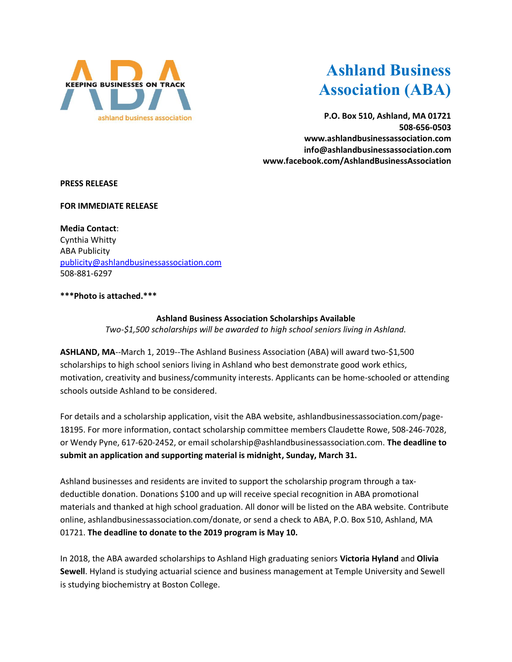

## **Ashland Business Association (ABA)**

**P.O. Box 510, Ashland, MA 01721 508-656-0503 www.ashlandbusinessassociation.com info@ashlandbusinessassociation.com www.facebook.com/AshlandBusinessAssociation**

**PRESS RELEASE**

**FOR IMMEDIATE RELEASE**

**Media Contact**: Cynthia Whitty ABA Publicity [publicity@ashlandbusinessassociation.com](mailto:publicity@ashlandbusinessassociation.com) 508-881-6297

**\*\*\*Photo is attached.\*\*\***

**Ashland Business Association Scholarships Available** *Two-\$1,500 scholarships will be awarded to high school seniors living in Ashland.*

**ASHLAND, MA**--March 1, 2019--The Ashland Business Association (ABA) will award two-\$1,500 scholarships to high school seniors living in Ashland who best demonstrate good work ethics, motivation, creativity and business/community interests. Applicants can be home-schooled or attending schools outside Ashland to be considered.

For details and a scholarship application, visit the ABA website, ashlandbusinessassociation.com/page-18195. For more information, contact scholarship committee members Claudette Rowe, 508-246-7028, or Wendy Pyne, 617-620-2452, or email scholarship@ashlandbusinessassociation.com. **The deadline to submit an application and supporting material is midnight, Sunday, March 31.**

Ashland businesses and residents are invited to support the scholarship program through a taxdeductible donation. Donations \$100 and up will receive special recognition in ABA promotional materials and thanked at high school graduation. All donor will be listed on the ABA website. Contribute online, ashlandbusinessassociation.com/donate, or send a check to ABA, P.O. Box 510, Ashland, MA 01721. **The deadline to donate to the 2019 program is May 10.**

In 2018, the ABA awarded scholarships to Ashland High graduating seniors **Victoria Hyland** and **Olivia Sewell**. Hyland is studying actuarial science and business management at Temple University and Sewell is studying biochemistry at Boston College.